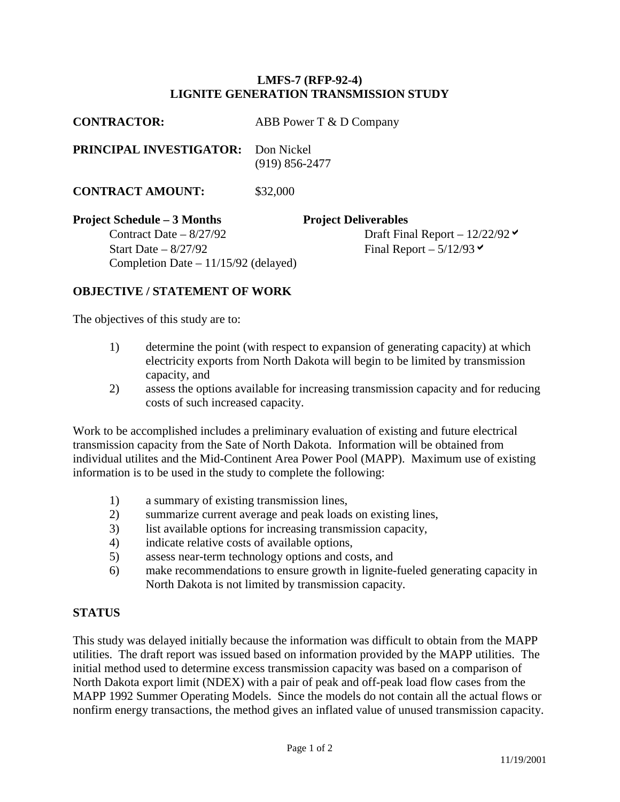## **LMFS-7 (RFP-92-4) LIGNITE GENERATION TRANSMISSION STUDY**

| <b>CONTRACTOR:</b>                    | ABB Power T & D Company          |
|---------------------------------------|----------------------------------|
| PRINCIPAL INVESTIGATOR:               | Don Nickel<br>$(919) 856 - 2477$ |
| <b>CONTRACT AMOUNT:</b>               | \$32,000                         |
| <b>Project Schedule – 3 Months</b>    | <b>Project Deliverables</b>      |
| Contract Date $-8/27/92$              | Draft Final Report – $12/22/92$  |
| Start Date $-8/27/92$                 | Final Report $-5/12/93$          |
| Completion Date $-11/15/92$ (delayed) |                                  |

## **OBJECTIVE / STATEMENT OF WORK**

The objectives of this study are to:

- 1) determine the point (with respect to expansion of generating capacity) at which electricity exports from North Dakota will begin to be limited by transmission capacity, and
- 2) assess the options available for increasing transmission capacity and for reducing costs of such increased capacity.

Work to be accomplished includes a preliminary evaluation of existing and future electrical transmission capacity from the Sate of North Dakota. Information will be obtained from individual utilites and the Mid-Continent Area Power Pool (MAPP). Maximum use of existing information is to be used in the study to complete the following:

- 1) a summary of existing transmission lines,
- 2) summarize current average and peak loads on existing lines,
- 3) list available options for increasing transmission capacity,
- 4) indicate relative costs of available options,
- 5) assess near-term technology options and costs, and
- 6) make recommendations to ensure growth in lignite-fueled generating capacity in North Dakota is not limited by transmission capacity.

## **STATUS**

This study was delayed initially because the information was difficult to obtain from the MAPP utilities. The draft report was issued based on information provided by the MAPP utilities. The initial method used to determine excess transmission capacity was based on a comparison of North Dakota export limit (NDEX) with a pair of peak and off-peak load flow cases from the MAPP 1992 Summer Operating Models. Since the models do not contain all the actual flows or nonfirm energy transactions, the method gives an inflated value of unused transmission capacity.